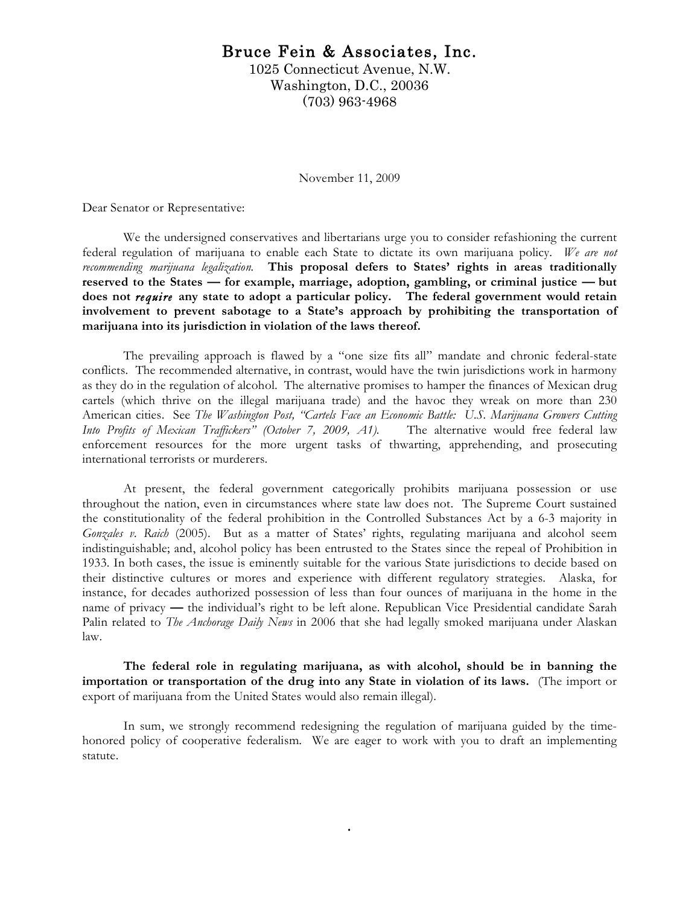## Bruce Fein & Associates, Inc.

1025 Connecticut Avenue, N.W. Washington, D.C., 20036 (703) 963-4968

November 11, 2009

Dear Senator or Representative:

We the undersigned conservatives and libertarians urge you to consider refashioning the current federal regulation of marijuana to enable each State to dictate its own marijuana policy. *We are not recommending marijuana legalization.* **This proposal defers to States' rights in areas traditionally reserved to the States — for example, marriage, adoption, gambling, or criminal justice — but does not** *require* **any state to adopt a particular policy. The federal government would retain involvement to prevent sabotage to a State's approach by prohibiting the transportation of marijuana into its jurisdiction in violation of the laws thereof.** 

The prevailing approach is flawed by a "one size fits all" mandate and chronic federal-state conflicts. The recommended alternative, in contrast, would have the twin jurisdictions work in harmony as they do in the regulation of alcohol. The alternative promises to hamper the finances of Mexican drug cartels (which thrive on the illegal marijuana trade) and the havoc they wreak on more than 230 American cities. See *The Washington Post, "Cartels Face an Economic Battle: U.S. Marijuana Growers Cutting Into Profits of Mexican Traffickers" (October 7, 2009, A1).* The alternative would free federal law enforcement resources for the more urgent tasks of thwarting, apprehending, and prosecuting international terrorists or murderers.

At present, the federal government categorically prohibits marijuana possession or use throughout the nation, even in circumstances where state law does not. The Supreme Court sustained the constitutionality of the federal prohibition in the Controlled Substances Act by a 6-3 majority in *Gonzales v. Raich* (2005). But as a matter of States' rights, regulating marijuana and alcohol seem indistinguishable; and, alcohol policy has been entrusted to the States since the repeal of Prohibition in 1933. In both cases, the issue is eminently suitable for the various State jurisdictions to decide based on their distinctive cultures or mores and experience with different regulatory strategies. Alaska, for instance, for decades authorized possession of less than four ounces of marijuana in the home in the name of privacy **—** the individual's right to be left alone. Republican Vice Presidential candidate Sarah Palin related to *The Anchorage Daily News* in 2006 that she had legally smoked marijuana under Alaskan law.

**The federal role in regulating marijuana, as with alcohol, should be in banning the importation or transportation of the drug into any State in violation of its laws.** (The import or export of marijuana from the United States would also remain illegal).

In sum, we strongly recommend redesigning the regulation of marijuana guided by the timehonored policy of cooperative federalism. We are eager to work with you to draft an implementing statute.

.